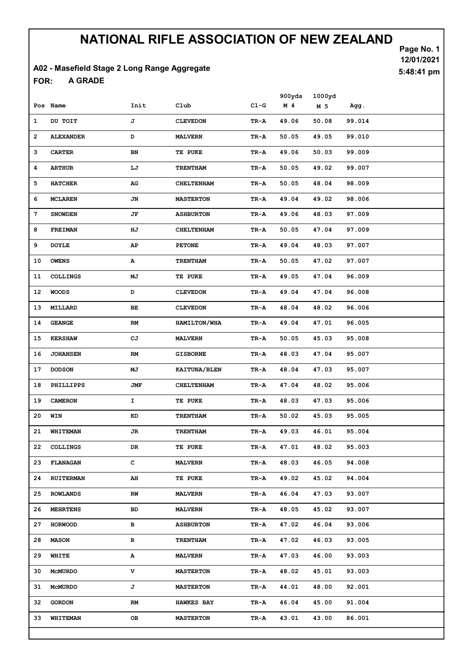#### A02 - Masefield Stage 2 Long Range Aggregate

A GRADE FOR:

Page No. 1 12/01/2021 5:48:41 pm

|    | Pos Name         | Init      | Club                | $C1-G$ | 900yds<br>$M$ 4 | 1000yd<br>M <sub>5</sub> | Agg.   |
|----|------------------|-----------|---------------------|--------|-----------------|--------------------------|--------|
| 1  | DU TOIT          | J         | <b>CLEVEDON</b>     | TR-A   | 49.06           | 50.08                    | 99.014 |
| 2  | <b>ALEXANDER</b> | D         | <b>MALVERN</b>      | TR-A   | 50.05           | 49.05                    | 99.010 |
| з  | <b>CARTER</b>    | BN        | TE PUKE             | TR-A   | 49.06           | 50.03                    | 99.009 |
| 4  | <b>ARTHUR</b>    | LJ        | <b>TRENTHAM</b>     | TR-A   | 50.05           | 49.02                    | 99.007 |
| 5  | <b>HATCHER</b>   | AG        | <b>CHELTENHAM</b>   | TR-A   | 50.05           | 48.04                    | 98.009 |
| 6  | MCLAREN          | JN        | <b>MASTERTON</b>    | TR-A   | 49.04           | 49.02                    | 98.006 |
| 7  | <b>SNOWDEN</b>   | JF        | <b>ASHBURTON</b>    | TR-A   | 49.06           | 48.03                    | 97.009 |
| 8  | <b>FREIMAN</b>   | ΗJ        | <b>CHELTENHAM</b>   | TR-A   | 50.05           | 47.04                    | 97.009 |
| 9  | <b>DOYLE</b>     | AP        | <b>PETONE</b>       | TR-A   | 49.04           | 48.03                    | 97.007 |
| 10 | <b>OWENS</b>     | А         | <b>TRENTHAM</b>     | TR-A   | 50.05           | 47.02                    | 97.007 |
| 11 | <b>COLLINGS</b>  | MJ        | TE PUKE             | TR-A   | 49.05           | 47.04                    | 96.009 |
| 12 | <b>WOODS</b>     | D         | <b>CLEVEDON</b>     | TR-A   | 49.04           | 47.04                    | 96.008 |
| 13 | MILLARD          | <b>BE</b> | <b>CLEVEDON</b>     | TR-A   | 48.04           | 48.02                    | 96.006 |
| 14 | <b>GEANGE</b>    | RM        | HAMILTON/WHA        | TR-A   | 49.04           | 47.01                    | 96.005 |
| 15 | <b>KERSHAW</b>   | СJ        | <b>MALVERN</b>      | TR-A   | 50.05           | 45.03                    | 95.008 |
| 16 | <b>JOHANSEN</b>  | RM        | <b>GISBORNE</b>     | TR-A   | 48.03           | 47.04                    | 95.007 |
| 17 | <b>DODSON</b>    | MJ        | <b>KAITUNA/BLEN</b> | TR-A   | 48.04           | 47.03                    | 95.007 |
| 18 | PHILLIPPS        | JMF       | <b>CHELTENHAM</b>   | TR-A   | 47.04           | 48.02                    | 95.006 |
| 19 | <b>CAMERON</b>   | I.        | TE PUKE             | TR-A   | 48.03           | 47.03                    | 95.006 |
| 20 | WIN              | KD        | <b>TRENTHAM</b>     | TR-A   | 50.02           | 45.03                    | 95.005 |
| 21 | WHITEMAN         | JR        | <b>TRENTHAM</b>     | TR-A   | 49.03           | 46.01                    | 95.004 |
|    | 22 COLLINGS      | DR        | TE PUKE             | TR-A   | 47.01           | 48.02                    | 95.003 |
| 23 | <b>FLANAGAN</b>  | с         | <b>MALVERN</b>      | TR-A   | 48.03           | 46.05                    | 94.008 |
| 24 | <b>RUITERMAN</b> | AH        | TE PUKE             | TR-A   | 49.02           | 45.02                    | 94.004 |
| 25 | ROWLANDS         | RW        | <b>MALVERN</b>      | TR-A   | 46.04           | 47.03                    | 93.007 |
| 26 | <b>MEHRTENS</b>  | BD        | <b>MALVERN</b>      | TR-A   | 48.05           | 45.02                    | 93.007 |
| 27 | <b>HORWOOD</b>   | в         | <b>ASHBURTON</b>    | TR-A   | 47.02           | 46.04                    | 93.006 |
| 28 | <b>MASON</b>     | R         | <b>TRENTHAM</b>     | TR-A   | 47.02           | 46.03                    | 93.005 |
| 29 | WHITE            | Α         | <b>MALVERN</b>      | TR-A   | 47.03           | 46.00                    | 93.003 |
| 30 | <b>MCMURDO</b>   | v         | <b>MASTERTON</b>    | TR-A   | 48.02           | 45.01                    | 93.003 |
| 31 | <b>MCMURDO</b>   | J         | <b>MASTERTON</b>    | TR-A   | 44.01           | 48.00                    | 92.001 |
| 32 | <b>GORDON</b>    | RM        | <b>HAWKES BAY</b>   | TR-A   | 46.04           | 45.00                    | 91.004 |
| 33 | <b>WHITEMAN</b>  | OВ        | <b>MASTERTON</b>    | TR-A   | 43.01           | 43.00                    | 86.001 |
|    |                  |           |                     |        |                 |                          |        |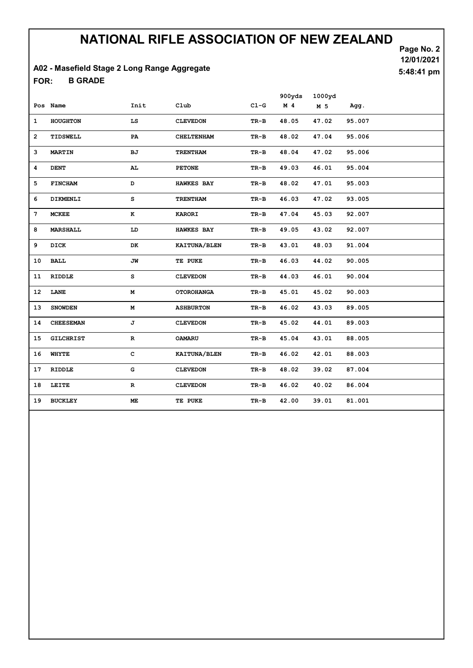#### A02 - Masefield Stage 2 Long Range Aggregate

B GRADE FOR:

Page No. 2 12/01/2021 5:48:41 pm

|                |                  |              |                   |          | 900yds         | 1000yd |        |
|----------------|------------------|--------------|-------------------|----------|----------------|--------|--------|
|                | Pos Name         | Init         | Club              | $CL-G$   | M <sub>4</sub> | M 5    | Agg.   |
| 1              | HOUGHTON         | LS           | <b>CLEVEDON</b>   | TR-B     | 48.05          | 47.02  | 95.007 |
| $\overline{2}$ | TIDSWELL         | PA           | <b>CHELTENHAM</b> | $TR-B$   | 48.02          | 47.04  | 95.006 |
| 3              | <b>MARTIN</b>    | ВJ           | <b>TRENTHAM</b>   | TR-B     | 48.04          | 47.02  | 95.006 |
| 4              | <b>DENT</b>      | AL.          | <b>PETONE</b>     | TR-B     | 49.03          | 46.01  | 95.004 |
| 5              | <b>FINCHAM</b>   | D            | <b>HAWKES BAY</b> | TR-B     | 48.02          | 47.01  | 95.003 |
| 6              | DIKMENLI         | s            | <b>TRENTHAM</b>   | TR-B     | 46.03          | 47.02  | 93.005 |
| 7              | <b>MCKEE</b>     | к            | <b>KARORI</b>     | $TR-B$   | 47.04          | 45.03  | 92.007 |
| 8              | <b>MARSHALL</b>  | LD           | <b>HAWKES BAY</b> | TR-B     | 49.05          | 43.02  | 92.007 |
| 9              | DICK             | DK           | KAITUNA/BLEN      | TR-B     | 43.01          | 48.03  | 91.004 |
| 10             | <b>BALL</b>      | JW           | TE PUKE           | TR-B     | 46.03          | 44.02  | 90.005 |
| 11             | <b>RIDDLE</b>    | s            | <b>CLEVEDON</b>   | $TR-B$   | 44.03          | 46.01  | 90.004 |
| 12             | LANE             | М            | <b>OTOROHANGA</b> | TR-B     | 45.01          | 45.02  | 90.003 |
| 13             | <b>SNOWDEN</b>   | М            | <b>ASHBURTON</b>  | $TR-B$   | 46.02          | 43.03  | 89.005 |
| 14             | <b>CHEESEMAN</b> | J            | <b>CLEVEDON</b>   | $TR - B$ | 45.02          | 44.01  | 89.003 |
| 15             | <b>GILCHRIST</b> | R            | <b>OAMARU</b>     | TR-B     | 45.04          | 43.01  | 88.005 |
| 16             | WHYTE            | $\mathbf{C}$ | KAITUNA/BLEN      | $TR-B$   | 46.02          | 42.01  | 88.003 |
| 17             | <b>RIDDLE</b>    | G            | <b>CLEVEDON</b>   | TR-B     | 48.02          | 39.02  | 87.004 |
| 18             | LEITE            | R            | <b>CLEVEDON</b>   | TR-B     | 46.02          | 40.02  | 86.004 |
| 19             | <b>BUCKLEY</b>   | ME.          | TE PUKE           | $TR-B$   | 42.00          | 39.01  | 81.001 |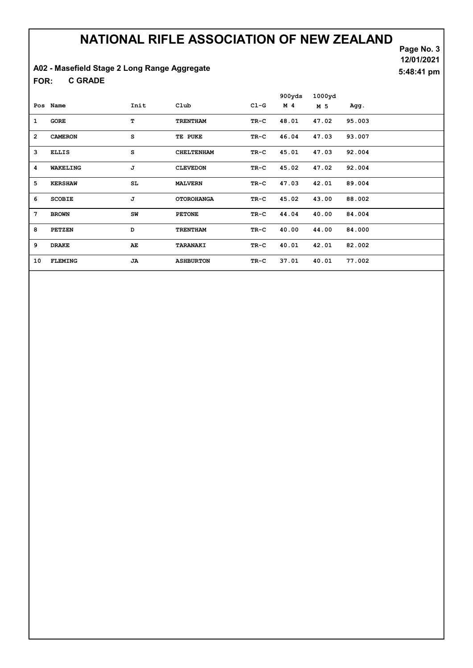#### A02 - Masefield Stage 2 Long Range Aggregate

C GRADE FOR:

Page No. 3 12/01/2021 5:48:41 pm

|                 |                 |      |                   |        | 900yds | 1000yd |        |
|-----------------|-----------------|------|-------------------|--------|--------|--------|--------|
|                 | Pos Name        | Init | Club              | $CL-G$ | M 4    | M 5    | Agg.   |
| $\mathbf{1}$    | <b>GORE</b>     | т    | <b>TRENTHAM</b>   | TR-C   | 48.01  | 47.02  | 95.003 |
| $\overline{2}$  | <b>CAMERON</b>  | s    | TE PUKE           | TR-C   | 46.04  | 47.03  | 93.007 |
| 3               | <b>ELLIS</b>    | s    | <b>CHELTENHAM</b> | TR-C   | 45.01  | 47.03  | 92.004 |
| 4               | <b>WAKELING</b> | J    | <b>CLEVEDON</b>   | TR-C   | 45.02  | 47.02  | 92.004 |
| 5               | <b>KERSHAW</b>  | SL.  | <b>MALVERN</b>    | TR-C   | 47.03  | 42.01  | 89.004 |
| 6               | <b>SCOBIE</b>   | J    | <b>OTOROHANGA</b> | TR-C   | 45.02  | 43.00  | 88.002 |
| $7\phantom{.0}$ | <b>BROWN</b>    | SW   | <b>PETONE</b>     | TR-C   | 44.04  | 40.00  | 84.004 |
| 8               | <b>PETZEN</b>   | D    | <b>TRENTHAM</b>   | TR-C   | 40.00  | 44.00  | 84.000 |
| 9               | <b>DRAKE</b>    | AЕ.  | TARANAKI          | TR-C   | 40.01  | 42.01  | 82.002 |
| 10              | <b>FLEMING</b>  | JA.  | <b>ASHBURTON</b>  | TR-C   | 37.01  | 40.01  | 77.002 |
|                 |                 |      |                   |        |        |        |        |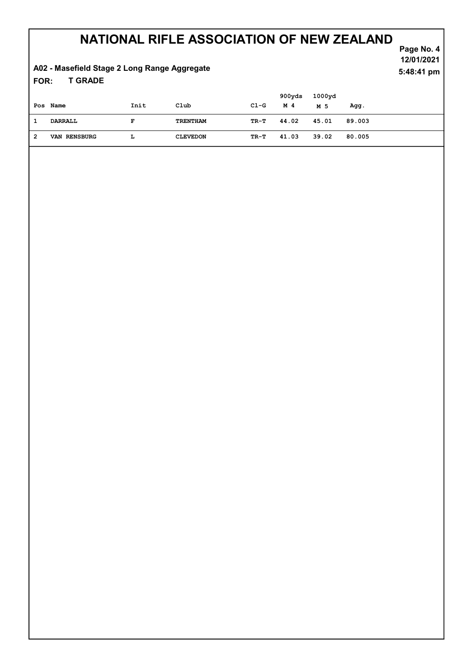#### T GRADE A02 - Masefield Stage 2 Long Range Aggregate FOR:

Page No. 4 12/01/2021 5:48:41 pm

|   |              |      |                 |            | 900yds | 1000yd |        |
|---|--------------|------|-----------------|------------|--------|--------|--------|
|   | Pos Name     | Init | Club            | $C1-G$     | M 4    | M 5    | Agg.   |
|   | DARRALL      | F    | TRENTHAM        | TR-T 44.02 |        | 45.01  | 89.003 |
| 2 | VAN RENSBURG | ш    | <b>CLEVEDON</b> | TR-T       | 41.03  | 39.02  | 80.005 |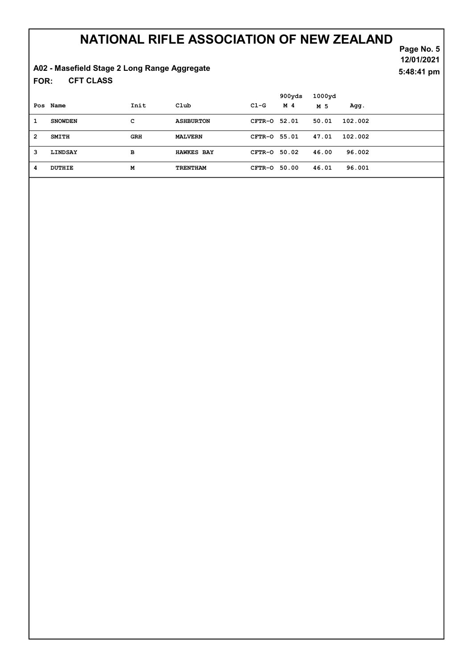# A02 - Masefield Stage 2 Long Range Aggregate

CFT CLASS FOR:

Page No. 5 12/01/2021 5:48:41 pm

|                |                |            |                   |              | 900yds | 1000yd |         |
|----------------|----------------|------------|-------------------|--------------|--------|--------|---------|
|                | Pos Name       | Init       | Club              | $C1-G$       | M 4    | M 5    | Agg.    |
| 1              | <b>SNOWDEN</b> | с          | <b>ASHBURTON</b>  | CFTR-0 52.01 |        | 50.01  | 102.002 |
| $\overline{2}$ | <b>SMITH</b>   | <b>GRH</b> | <b>MALVERN</b>    | CFTR-0 55.01 |        | 47.01  | 102.002 |
| 3              | LINDSAY        | в          | <b>HAWKES BAY</b> | CFTR-0 50.02 |        | 46.00  | 96.002  |
| 4              | DUTHIE         | М          | <b>TRENTHAM</b>   | CFTR-0       | 50.00  | 46.01  | 96.001  |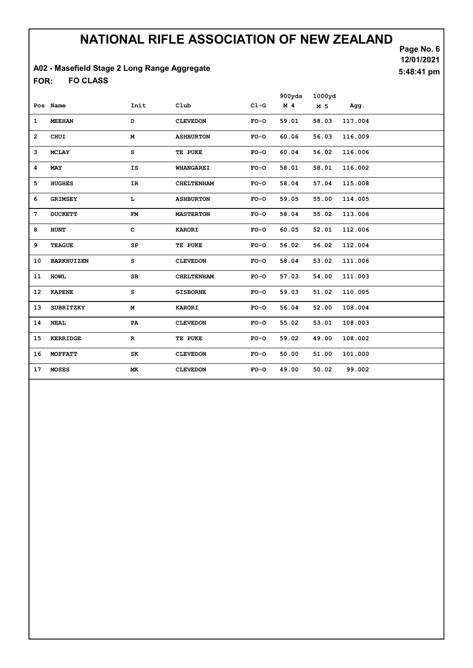#### A02 - Masefield Stage 2 Long Range Aggregate

FO CLASS FOR:

Page No. 6 12/01/2021 5:48:41 pm

|                   |              |                   |        | 900yds         | 1000yd |         |
|-------------------|--------------|-------------------|--------|----------------|--------|---------|
| Pos Name          | Init         | $_{\text{C1ub}}$  | $C1-G$ | M <sub>4</sub> | M 5    | Agg.    |
| <b>MEEHAN</b>     | D            | <b>CLEVEDON</b>   | $FO-O$ | 59.01          | 58.03  | 117.004 |
| CHUI              | М            | <b>ASHBURTON</b>  | $FO-O$ | 60.06          | 56.03  | 116.009 |
| <b>MCLAY</b>      | s            | TE PUKE           | $FO-O$ | 60.04          | 56.02  | 116.006 |
| MAY               | IS           | <b>WHANGAREI</b>  | $FO-O$ | 58.01          | 58.01  | 116.002 |
| <b>HUGHES</b>     | IR           | <b>CHELTENHAM</b> | $FO-O$ | 58.04          | 57.04  | 115.008 |
| <b>GRIMSEY</b>    | L            | <b>ASHBURTON</b>  | $FO-O$ | 59.05          | 55.00  | 114.005 |
| <b>DUCKETT</b>    | FM           | <b>MASTERTON</b>  | $FO-O$ | 58.04          | 55.02  | 113.006 |
| <b>HUNT</b>       | $\mathbf{C}$ | <b>KARORI</b>     | $FO-O$ | 60.05          | 52.01  | 112.006 |
| <b>TEAGUE</b>     | SP           | TE PUKE           | $FO-O$ | 56.02          | 56.02  | 112.004 |
| <b>BARKHUIZEN</b> | s            | <b>CLEVEDON</b>   | $FO-O$ | 58.04          | 53.02  | 111.006 |
| <b>HOWL</b>       | SB           | <b>CHELTENHAM</b> | $FO-O$ | 57.03          | 54.00  | 111.003 |
| <b>KAPENE</b>     | s            | <b>GISBORNE</b>   | $FO-O$ | 59.03          | 51.02  | 110.005 |
| SUBRITZKY         | М            | <b>KARORI</b>     | $FO-O$ | 56.04          | 52.00  | 108.004 |
| <b>NEAL</b>       | PA           | <b>CLEVEDON</b>   | $FO-O$ | 55.02          | 53.01  | 108.003 |
| <b>KERRIDGE</b>   | $\mathbf R$  | TE PUKE           | $FO-O$ | 59.02          | 49.00  | 108.002 |
| <b>MOFFATT</b>    | SK           | <b>CLEVEDON</b>   | $FO-O$ | 50.00          | 51.00  | 101.000 |
| <b>MOSES</b>      | МK           | <b>CLEVEDON</b>   | $FO-O$ | 49.00          | 50.02  | 99.002  |
|                   |              |                   |        |                |        |         |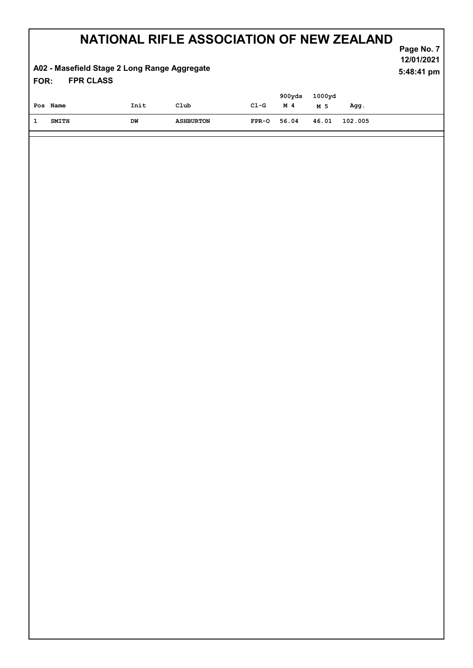#### FPR CLASS A02 - Masefield Stage 2 Long Range Aggregate FOR:

Page No. 7 12/01/2021 5:48:41 pm

| Pos Name | Init | Club             | C1-G        | 900yds<br>M 4 | 1000yd<br>M 5 | Agg.          |
|----------|------|------------------|-------------|---------------|---------------|---------------|
| SMITH    | DW   | <b>ASHBURTON</b> | FPR-0 56.04 |               |               | 46.01 102.005 |